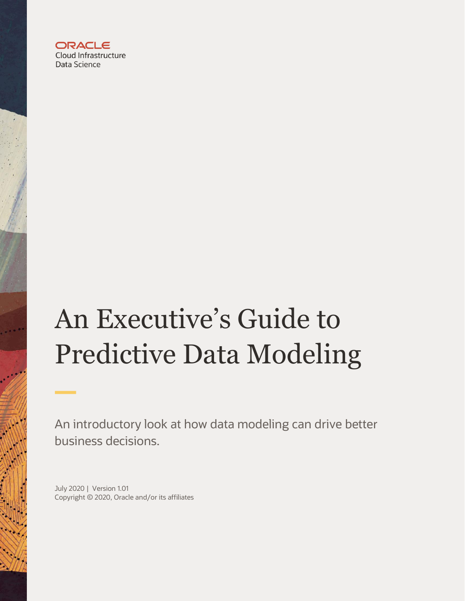

# An Executive's Guide to Predictive Data Modeling

An introductory look at how data modeling can drive better business decisions.

July 2020 | Version 1.01 Copyright © 2020, Oracle and/or its affiliates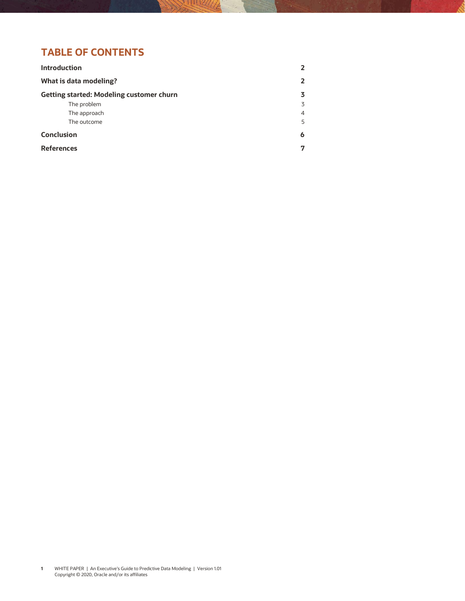# **TABLE OF CONTENTS**

| <b>Introduction</b>                             | 2 |
|-------------------------------------------------|---|
| What is data modeling?                          | 2 |
| <b>Getting started: Modeling customer churn</b> | 3 |
| The problem                                     | 3 |
| The approach                                    | 4 |
| The outcome                                     | 5 |
| <b>Conclusion</b>                               | 6 |
| <b>References</b>                               | 7 |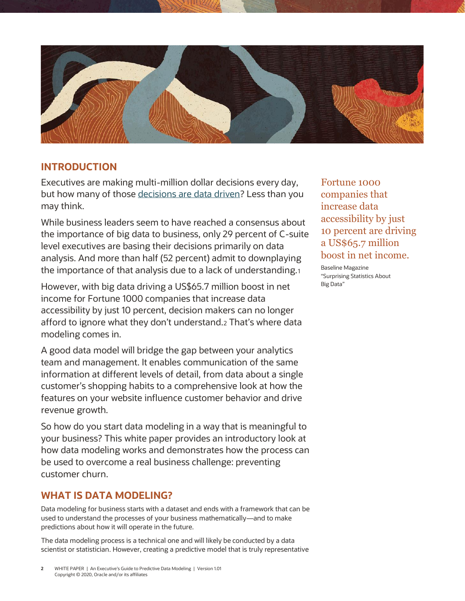

# <span id="page-2-0"></span>**INTRODUCTION**

Executives are making multi-million dollar decisions every day, but how many of those [decisions are data driven?](https://www.oracle.com/data-science/what-is-data-science.html) Less than you may think.

While business leaders seem to have reached a consensus about the importance of big data to business, only 29 percent of C-suite level executives are basing their decisions primarily on data analysis. And more than half (52 percent) admit to downplaying the importance of that analysis due to a lack of understanding.<sup>1</sup>

However, with big data driving a US\$65.7 million boost in net income for Fortune 1000 companies that increase data accessibility by just 10 percent, decision makers can no longer afford to ignore what they don't understand.<sup>2</sup> That's where data modeling comes in.

A good data model will bridge the gap between your analytics team and management. It enables communication of the same information at different levels of detail, from data about a single customer's shopping habits to a comprehensive look at how the features on your website influence customer behavior and drive revenue growth.

So how do you start data modeling in a way that is meaningful to your business? This white paper provides an introductory look at how data modeling works and demonstrates how the process can be used to overcome a real business challenge: preventing customer churn.

# <span id="page-2-1"></span>**WHAT IS DATA MODELING?**

Data modeling for business starts with a dataset and ends with a framework that can be used to understand the processes of your business mathematically—and to make predictions about how it will operate in the future.

The data modeling process is a technical one and will likely be conducted by a data scientist or statistician. However, creating a predictive model that is truly representative

Fortune 1000 companies that increase data accessibility by just 10 percent are driving a US\$65.7 million boost in net income.

Baseline Magazine "Surprising Statistics About Big Data"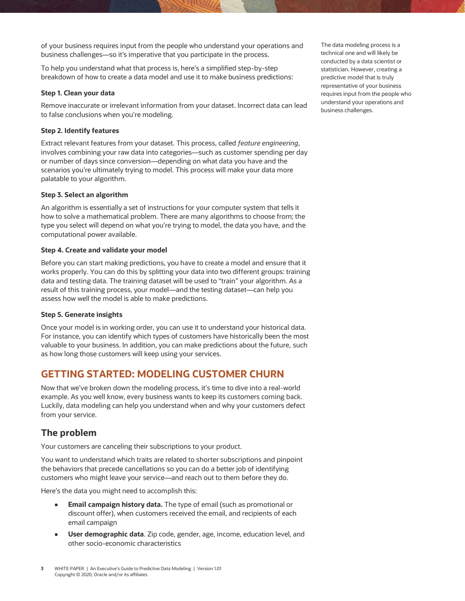of your business requires input from the people who understand your operations and business challenges—so it's imperative that you participate in the process.

To help you understand what that process is, here's a simplified step-by-step breakdown of how to create a data model and use it to make business predictions:

### **Step 1. Clean your data**

Remove inaccurate or irrelevant information from your dataset. Incorrect data can lead to false conclusions when you're modeling.

## **Step 2. Identify features**

Extract relevant features from your dataset. This process, called *feature engineering*, involves combining your raw data into categories—such as customer spending per day or number of days since conversion—depending on what data you have and the scenarios you're ultimately trying to model. This process will make your data more palatable to your algorithm.

## **Step 3. Select an algorithm**

An algorithm is essentially a set of instructions for your computer system that tells it how to solve a mathematical problem. There are many algorithms to choose from; the type you select will depend on what you're trying to model, the data you have, and the computational power available.

### **Step 4. Create and validate your model**

Before you can start making predictions, you have to create a model and ensure that it works properly. You can do this by splitting your data into two different groups: training data and testing data. The training dataset will be used to "train" your algorithm. As a result of this training process, your model—and the testing dataset—can help you assess how well the model is able to make predictions.

#### **Step 5. Generate insights**

Once your model is in working order, you can use it to understand your historical data. For instance, you can identify which types of customers have historically been the most valuable to your business. In addition, you can make predictions about the future, such as how long those customers will keep using your services.

# <span id="page-3-0"></span>**GETTING STARTED: MODELING CUSTOMER CHURN**

Now that we've broken down the modeling process, it's time to dive into a real-world example. As you well know, every business wants to keep its customers coming back. Luckily, data modeling can help you understand when and why your customers defect from your service.

## <span id="page-3-1"></span>**The problem**

Your customers are canceling their subscriptions to your product.

You want to understand which traits are related to shorter subscriptions and pinpoint the behaviors that precede cancellations so you can do a better job of identifying customers who might leave your service—and reach out to them before they do.

Here's the data you might need to accomplish this:

- **Email campaign history data.** The type of email (such as promotional or discount offer), when customers received the email, and recipients of each email campaign
- **User demographic data**. Zip code, gender, age, income, education level, and  $\bullet$ other socio-economic characteristics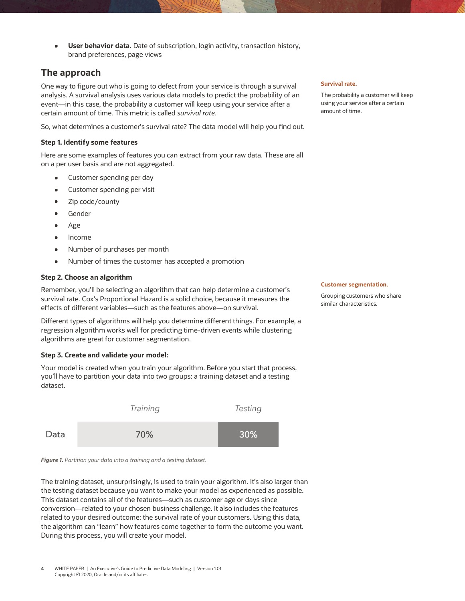**User behavior data.** Date of subscription, login activity, transaction history,  $\bullet$ brand preferences, page views

## <span id="page-4-0"></span>**The approach**

One way to figure out who is going to defect from your service is through a survival analysis. A survival analysis uses various data models to predict the probability of an event—in this case, the probability a customer will keep using your service after a certain amount of time. This metric is called *survival rate*.

So, what determines a customer's survival rate? The data model will help you find out.

## **Step 1. Identify some features**

Here are some examples of features you can extract from your raw data. These are all on a per user basis and are not aggregated.

- Customer spending per day  $\bullet$
- Customer spending per visit  $\bullet$
- Zip code/county  $\bullet$
- Gender  $\bullet$
- Age  $\bullet$
- Income  $\bullet$
- Number of purchases per month
- Number of times the customer has accepted a promotion

#### **Step 2. Choose an algorithm**

Remember, you'll be selecting an algorithm that can help determine a customer's survival rate. Cox's Proportional Hazard is a solid choice, because it measures the effects of different variables—such as the features above—on survival.

Different types of algorithms will help you determine different things. For example, a regression algorithm works well for predicting time-driven events while clustering algorithms are great for customer segmentation.

## **Step 3. Create and validate your model:**

Your model is created when you train your algorithm. Before you start that process, you'll have to partition your data into two groups: a training dataset and a testing dataset.



*Figure 1. Partition your data into a training and a testing dataset.*

The training dataset, unsurprisingly, is used to train your algorithm. It's also larger than the testing dataset because you want to make your model as experienced as possible. This dataset contains all of the features—such as customer age or days since conversion—related to your chosen business challenge. It also includes the features related to your desired outcome: the survival rate of your customers. Using this data, the algorithm can "learn" how features come together to form the outcome you want. During this process, you will create your model.

#### **Survival rate.**

The probability a customer will keep using your service after a certain amount of time.

#### **Customer segmentation.**

Grouping customers who share similar characteristics.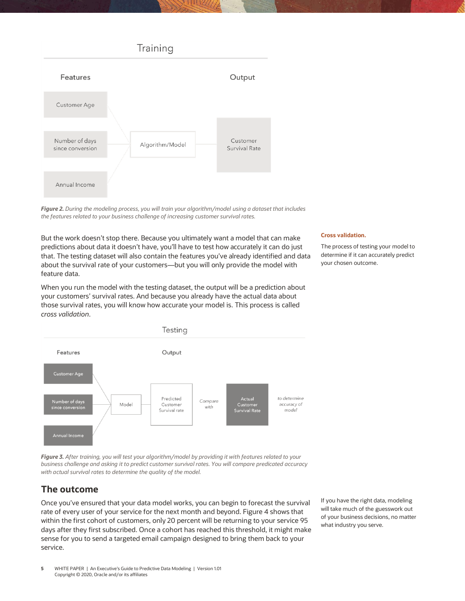

*Figure 2. During the modeling process, you will train your algorithm/model using a dataset that includes the features related to your business challenge of increasing customer survival rates.*

But the work doesn't stop there. Because you ultimately want a model that can make predictions about data it doesn't have, you'll have to test how accurately it can do just that. The testing dataset will also contain the features you've already identified and data about the survival rate of your customers—but you will only provide the model with feature data.

When you run the model with the testing dataset, the output will be a prediction about your customers' survival rates. And because you already have the actual data about those survival rates, you will know how accurate your model is. This process is called *cross validation*.



*Figure 3. After training, you will test your algorithm/model by providing it with features related to your business challenge and asking it to predict customer survival rates. You will compare predicated accuracy with actual survival rates to determine the quality of the model.*

# <span id="page-5-0"></span>**The outcome**

Once you've ensured that your data model works, you can begin to forecast the survival rate of every user of your service for the next month and beyond. Figure 4 shows that within the first cohort of customers, only 20 percent will be returning to your service 95 days after they first subscribed. Once a cohort has reached this threshold, it might make sense for you to send a targeted email campaign designed to bring them back to your service.

If you have the right data, modeling will take much of the guesswork out of your business decisions, no matter what industry you serve.

**5** WHITE PAPER | An Executive's Guide to Predictive Data Modeling | Version 1.01 Copyright © 2020, Oracle and/or its affiliates

#### **Cross validation.**

The process of testing your model to determine if it can accurately predict your chosen outcome.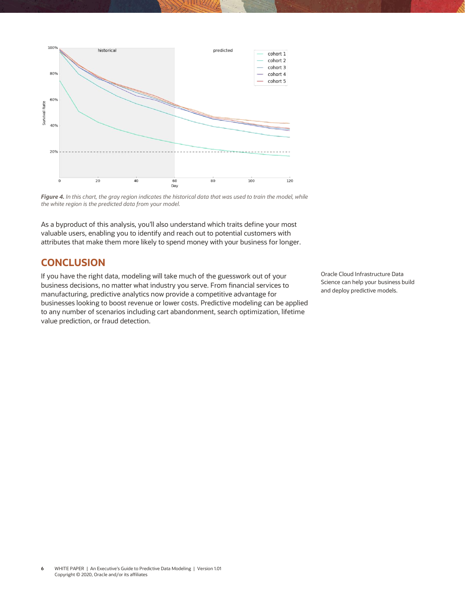

*Figure 4. In this chart, the gray region indicates the historical data that was used to train the model, while the white region is the predicted data from your model.* 

As a byproduct of this analysis, you'll also understand which traits define your most valuable users, enabling you to identify and reach out to potential customers with attributes that make them more likely to spend money with your business for longer.

# <span id="page-6-0"></span>**CONCLUSION**

If you have the right data, modeling will take much of the guesswork out of your business decisions, no matter what industry you serve. From financial services to manufacturing, predictive analytics now provide a competitive advantage for businesses looking to boost revenue or lower costs. Predictive modeling can be applied to any number of scenarios including cart abandonment, search optimization, lifetime value prediction, or fraud detection.

Oracle Cloud Infrastructure Data Science can help your business build and deploy predictive models.